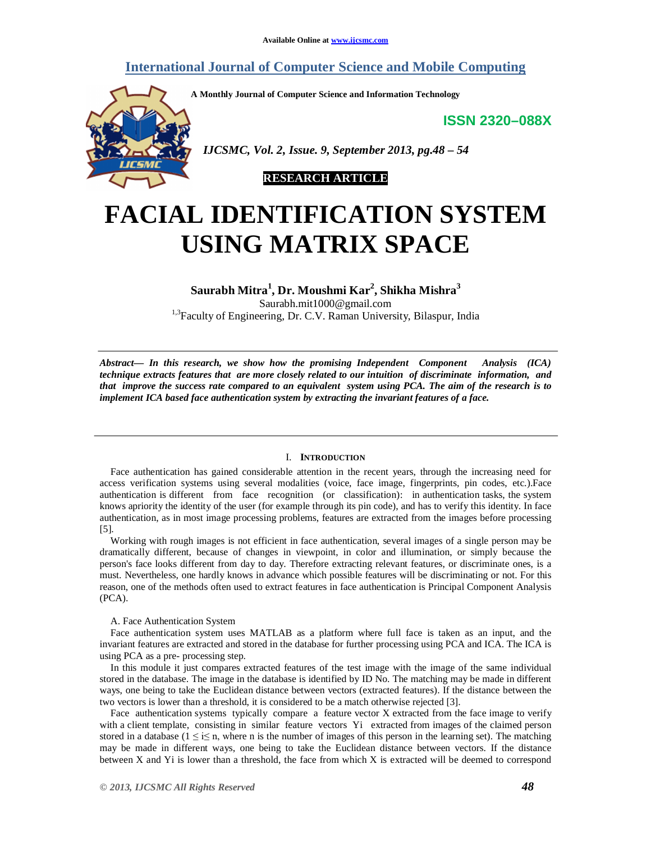# **International Journal of Computer Science and Mobile Computing**

**A Monthly Journal of Computer Science and Information Technology**

**ISSN 2320–088X**



 *IJCSMC, Vol. 2, Issue. 9, September 2013, pg.48 – 54*



# **FACIAL IDENTIFICATION SYSTEM USING MATRIX SPACE**

# **Saurabh Mitra<sup>1</sup> , Dr. Moushmi Kar<sup>2</sup> , Shikha Mishra<sup>3</sup>** Saurabh.mit1000@gmail.com <sup>1,3</sup>Faculty of Engineering, Dr. C.V. Raman University, Bilaspur, India

*Abstract— In this research, we show how the promising Independent Component Analysis (ICA) technique extracts features that are more closely related to our intuition of discriminate information, and that improve the success rate compared to an equivalent system using PCA. The aim of the research is to implement ICA based face authentication system by extracting the invariant features of a face.*

## I. **INTRODUCTION**

Face authentication has gained considerable attention in the recent years, through the increasing need for access verification systems using several modalities (voice, face image, fingerprints, pin codes, etc.).Face authentication is different from face recognition (or classification): in authentication tasks, the system knows apriority the identity of the user (for example through its pin code), and has to verify this identity. In face authentication, as in most image processing problems, features are extracted from the images before processing [5].

Working with rough images is not efficient in face authentication, several images of a single person may be dramatically different, because of changes in viewpoint, in color and illumination, or simply because the person's face looks different from day to day. Therefore extracting relevant features, or discriminate ones, is a must. Nevertheless, one hardly knows in advance which possible features will be discriminating or not. For this reason, one of the methods often used to extract features in face authentication is Principal Component Analysis (PCA).

### A. Face Authentication System

Face authentication system uses MATLAB as a platform where full face is taken as an input, and the invariant features are extracted and stored in the database for further processing using PCA and ICA. The ICA is using PCA as a pre- processing step.

In this module it just compares extracted features of the test image with the image of the same individual stored in the database. The image in the database is identified by ID No. The matching may be made in different ways, one being to take the Euclidean distance between vectors (extracted features). If the distance between the two vectors is lower than a threshold, it is considered to be a match otherwise rejected [3].

Face authentication systems typically compare a feature vector X extracted from the face image to verify with a client template, consisting in similar feature vectors Yi extracted from images of the claimed person stored in a database ( $1 \le i \le n$ , where n is the number of images of this person in the learning set). The matching may be made in different ways, one being to take the Euclidean distance between vectors. If the distance between X and Yi is lower than a threshold, the face from which X is extracted will be deemed to correspond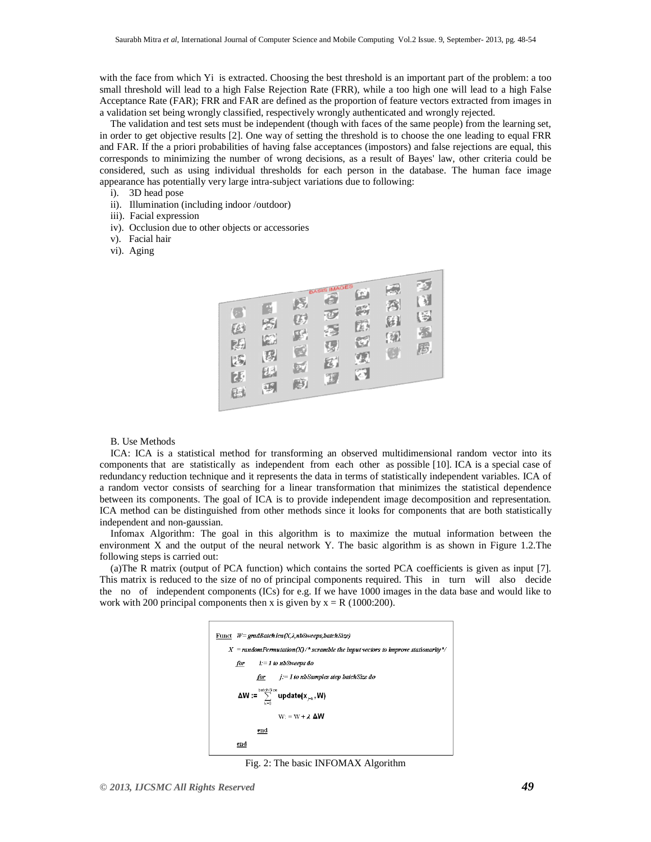with the face from which Yi is extracted. Choosing the best threshold is an important part of the problem: a too small threshold will lead to a high False Rejection Rate (FRR), while a too high one will lead to a high False Acceptance Rate (FAR); FRR and FAR are defined as the proportion of feature vectors extracted from images in a validation set being wrongly classified, respectively wrongly authenticated and wrongly rejected.

The validation and test sets must be independent (though with faces of the same people) from the learning set, in order to get objective results [2]. One way of setting the threshold is to choose the one leading to equal FRR and FAR. If the a priori probabilities of having false acceptances (impostors) and false rejections are equal, this corresponds to minimizing the number of wrong decisions, as a result of Bayes' law, other criteria could be considered, such as using individual thresholds for each person in the database. The human face image appearance has potentially very large intra-subject variations due to following:

- i). 3D head pose
- ii). Illumination (including indoor /outdoor)
- iii). Facial expression
- iv). Occlusion due to other objects or accessories
- v). Facial hair
- vi). Aging



## B. Use Methods

ICA: ICA is a statistical method for transforming an observed multidimensional random vector into its components that are statistically as independent from each other as possible [10]. ICA is a special case of redundancy reduction technique and it represents the data in terms of statistically independent variables. ICA of a random vector consists of searching for a linear transformation that minimizes the statistical dependence between its components. The goal of ICA is to provide independent image decomposition and representation. ICA method can be distinguished from other methods since it looks for components that are both statistically independent and non-gaussian.

Infomax Algorithm: The goal in this algorithm is to maximize the mutual information between the environment X and the output of the neural network Y. The basic algorithm is as shown in Figure 1.2.The following steps is carried out:

(a)The R matrix (output of PCA function) which contains the sorted PCA coefficients is given as input [7]. This matrix is reduced to the size of no of principal components required. This in turn will also decide the no of independent components (ICs) for e.g. If we have 1000 images in the data base and would like to work with 200 principal components then x is given by  $x = R$  (1000:200).



Fig. 2: The basic INFOMAX Algorithm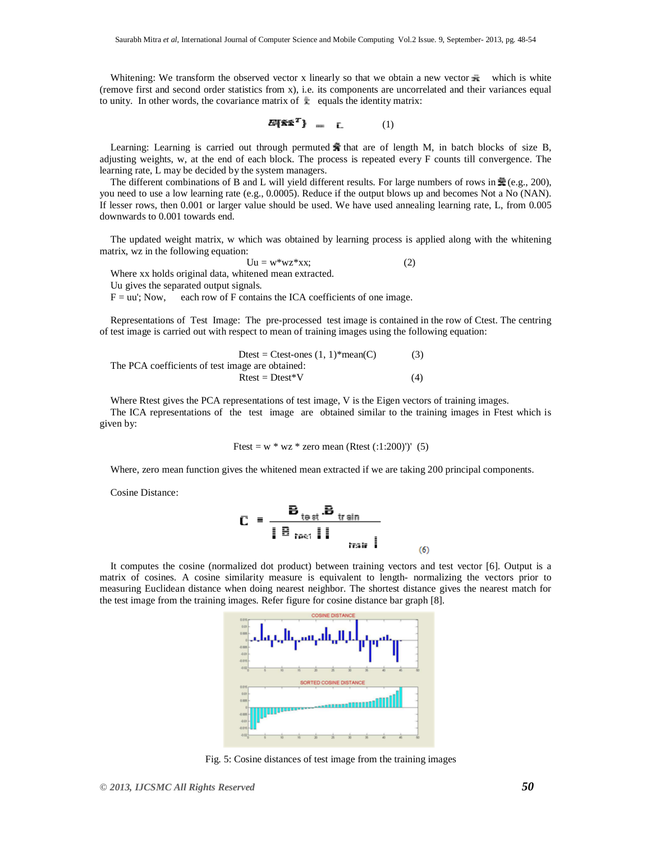Whitening: We transform the observed vector x linearly so that we obtain a new vector  $\bar{\mathbf{x}}$  which is white (remove first and second order statistics from x), i.e. its components are uncorrelated and their variances equal to unity. In other words, the covariance matrix of  $\ddot{\mathbf{r}}$  equals the identity matrix:

$$
E\{\tilde{\mathbf{x}}\tilde{\mathbf{x}}^2\} = \mathbf{L} \tag{1}
$$

Learning: Learning is carried out through permuted  $\hat{\mathbf{\mathbf{F}}}$  that are of length M, in batch blocks of size B, adjusting weights, w, at the end of each block. The process is repeated every F counts till convergence. The learning rate, L may be decided by the system managers.

The different combinations of B and L will yield different results. For large numbers of rows in  $\frac{1}{28}$  (e.g., 200), you need to use a low learning rate (e.g., 0.0005). Reduce if the output blows up and becomes Not a No (NAN). If lesser rows, then 0.001 or larger value should be used. We have used annealing learning rate, L, from 0.005 downwards to 0.001 towards end.

The updated weight matrix, w which was obtained by learning process is applied along with the whitening matrix, wz in the following equation:

 $Uu = w^*wz^*xx;$  (2) Where xx holds original data, whitened mean extracted. Uu gives the separated output signals.  $F = uu'$ ; Now, each row of F contains the ICA coefficients of one image.

Representations of Test Image: The pre-processed test image is contained in the row of Ctest. The centring of test image is carried out with respect to mean of training images using the following equation:

3. The PCA coefficients of test image are obtained:

\n(3)

\n3. The PCA coefficients of test image are obtained:

\n3. 
$$
Rtest = Dtest*V
$$

\n(4)

Where Rtest gives the PCA representations of test image, V is the Eigen vectors of training images. The ICA representations of the test image are obtained similar to the training images in Ftest which is given by:

Ftest = w \* wz \* zero mean (Rtest (:1:200)')' (5)

Where, zero mean function gives the whitened mean extracted if we are taking 200 principal components.

Cosine Distance:

$$
\mathbf{C} = \frac{\mathbf{B}_{\text{test}} \cdot \mathbf{B}_{\text{train}}}{\|\mathbf{B}_{\text{test}}\| \cdot \|\mathbf{B}_{\text{train}}\|}
$$
 (6)

It computes the cosine (normalized dot product) between training vectors and test vector [6]. Output is a matrix of cosines. A cosine similarity measure is equivalent to length- normalizing the vectors prior to measuring Euclidean distance when doing nearest neighbor. The shortest distance gives the nearest match for the test image from the training images. Refer figure for cosine distance bar graph [8].



Fig. 5: Cosine distances of test image from the training images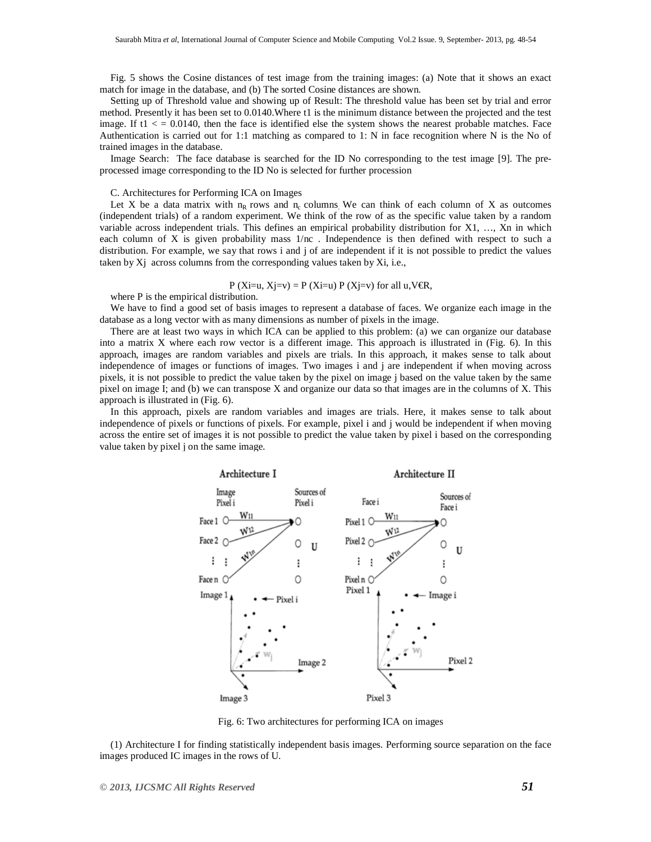Fig. 5 shows the Cosine distances of test image from the training images: (a) Note that it shows an exact match for image in the database, and (b) The sorted Cosine distances are shown.

Setting up of Threshold value and showing up of Result: The threshold value has been set by trial and error method. Presently it has been set to 0.0140.Where t1 is the minimum distance between the projected and the test image. If  $t_1 < 0.0140$ , then the face is identified else the system shows the nearest probable matches. Face Authentication is carried out for 1:1 matching as compared to 1: N in face recognition where N is the No of trained images in the database.

Image Search: The face database is searched for the ID No corresponding to the test image [9]. The preprocessed image corresponding to the ID No is selected for further procession

#### C. Architectures for Performing ICA on Images

Let X be a data matrix with  $n_R$  rows and  $n_c$  columns. We can think of each column of X as outcomes (independent trials) of a random experiment. We think of the row of as the specific value taken by a random variable across independent trials. This defines an empirical probability distribution for X1, …, Xn in which each column of X is given probability mass  $1/nc$ . Independence is then defined with respect to such a distribution. For example, we say that rows i and j of are independent if it is not possible to predict the values taken by Xj across columns from the corresponding values taken by Xi, i.e.,

P (Xi=u, Xj=v) = P (Xi=u) P (Xj=v) for all u, V
$$
\bigoplus
$$
,

where P is the empirical distribution.

We have to find a good set of basis images to represent a database of faces. We organize each image in the database as a long vector with as many dimensions as number of pixels in the image.

There are at least two ways in which ICA can be applied to this problem: (a) we can organize our database into a matrix X where each row vector is a different image. This approach is illustrated in (Fig. 6). In this approach, images are random variables and pixels are trials. In this approach, it makes sense to talk about independence of images or functions of images. Two images i and j are independent if when moving across pixels, it is not possible to predict the value taken by the pixel on image j based on the value taken by the same pixel on image I; and (b) we can transpose X and organize our data so that images are in the columns of X. This approach is illustrated in (Fig. 6).

In this approach, pixels are random variables and images are trials. Here, it makes sense to talk about independence of pixels or functions of pixels. For example, pixel i and j would be independent if when moving across the entire set of images it is not possible to predict the value taken by pixel i based on the corresponding value taken by pixel j on the same image.



Fig. 6: Two architectures for performing ICA on images

(1) Architecture I for finding statistically independent basis images. Performing source separation on the face images produced IC images in the rows of U.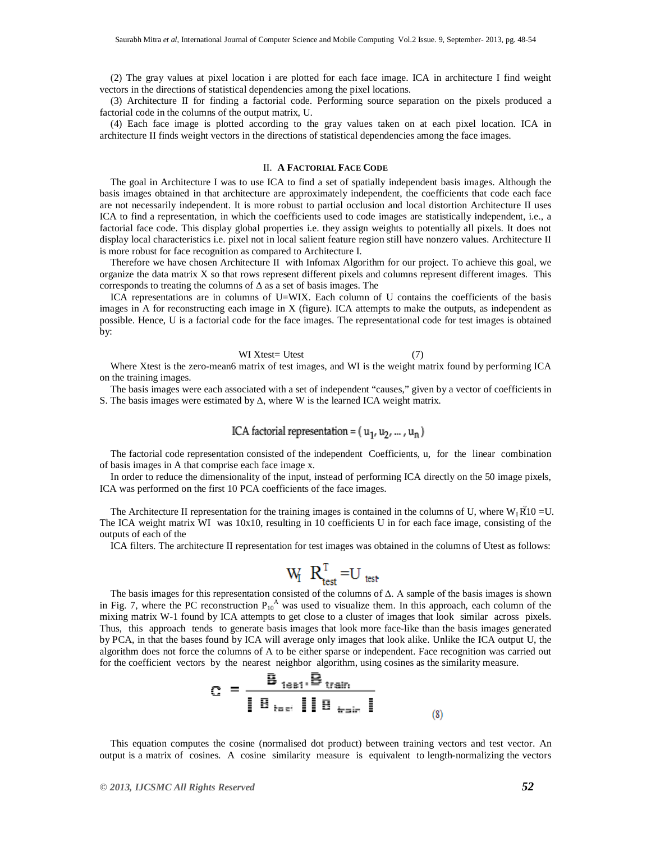(2) The gray values at pixel location i are plotted for each face image. ICA in architecture I find weight vectors in the directions of statistical dependencies among the pixel locations.

(3) Architecture II for finding a factorial code. Performing source separation on the pixels produced a factorial code in the columns of the output matrix, U.

(4) Each face image is plotted according to the gray values taken on at each pixel location. ICA in architecture II finds weight vectors in the directions of statistical dependencies among the face images.

# II. **A FACTORIAL FACE CODE**

The goal in Architecture I was to use ICA to find a set of spatially independent basis images. Although the basis images obtained in that architecture are approximately independent, the coefficients that code each face are not necessarily independent. It is more robust to partial occlusion and local distortion Architecture II uses ICA to find a representation, in which the coefficients used to code images are statistically independent, i.e., a factorial face code. This display global properties i.e. they assign weights to potentially all pixels. It does not display local characteristics i.e. pixel not in local salient feature region still have nonzero values. Architecture II is more robust for face recognition as compared to Architecture I.

Therefore we have chosen Architecture II with Infomax Algorithm for our project. To achieve this goal, we organize the data matrix X so that rows represent different pixels and columns represent different images. This corresponds to treating the columns of  $\Delta$  as a set of basis images. The

ICA representations are in columns of U=WIX. Each column of U contains the coefficients of the basis images in A for reconstructing each image in X (figure). ICA attempts to make the outputs, as independent as possible. Hence, U is a factorial code for the face images. The representational code for test images is obtained by:

#### WI Xtest= Utest (7)

Where Xtest is the zero-mean6 matrix of test images, and WI is the weight matrix found by performing ICA on the training images.

The basis images were each associated with a set of independent "causes," given by a vector of coefficients in S. The basis images were estimated by  $\Delta$ , where W is the learned ICA weight matrix.

# ICA factorial representation =  $(u_1, u_2, ..., u_n)$

The factorial code representation consisted of the independent Coefficients, u, for the linear combination of basis images in A that comprise each face image x.

In order to reduce the dimensionality of the input, instead of performing ICA directly on the 50 image pixels, ICA was performed on the first 10 PCA coefficients of the face images.

The Architecture II representation for the training images is contained in the columns of U, where  $W_1 \vec{R} 10 = U$ . The ICA weight matrix WI was 10x10, resulting in 10 coefficients U in for each face image, consisting of the outputs of each of the

ICA filters. The architecture II representation for test images was obtained in the columns of Utest as follows:

$$
W_I \ R_{\text{test}}^T = U_{\text{test}}
$$

The basis images for this representation consisted of the columns of Δ. A sample of the basis images is shown in Fig. 7, where the PC reconstruction  $P_{10}^A$  was used to visualize them. In this approach, each column of the mixing matrix W-1 found by ICA attempts to get close to a cluster of images that look similar across pixels. Thus, this approach tends to generate basis images that look more face-like than the basis images generated by PCA, in that the bases found by ICA will average only images that look alike. Unlike the ICA output U, the algorithm does not force the columns of A to be either sparse or independent. Face recognition was carried out for the coefficient vectors by the nearest neighbor algorithm, using cosines as the similarity measure.

$$
C = \frac{B_{\text{test}}.B_{\text{train}}}{\parallel B_{\text{test}} \parallel B_{\text{train}} \parallel}
$$
 (8)

This equation computes the cosine (normalised dot product) between training vectors and test vector. An output is a matrix of cosines. A cosine similarity measure is equivalent to length-normalizing the vectors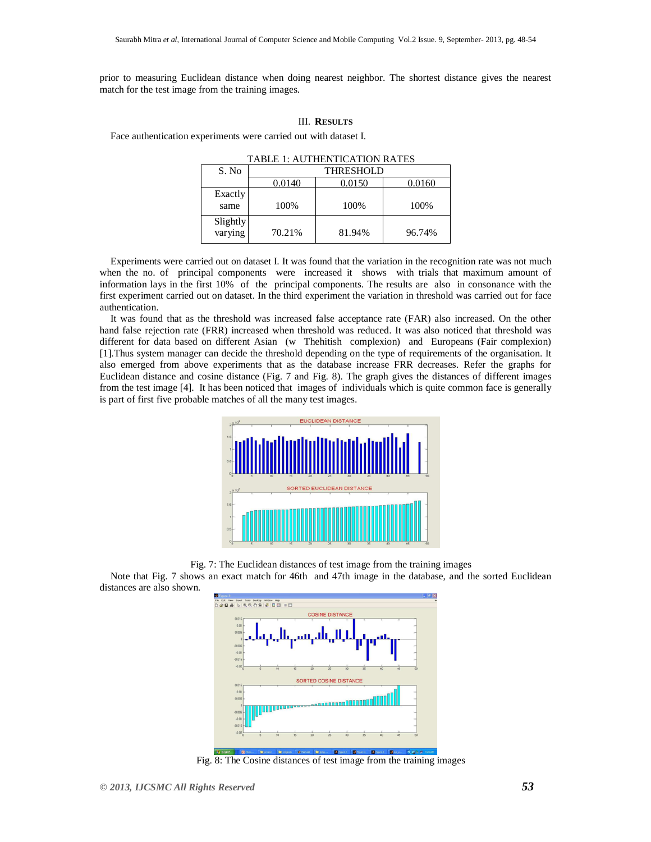prior to measuring Euclidean distance when doing nearest neighbor. The shortest distance gives the nearest match for the test image from the training images.

# III. **RESULTS**

Face authentication experiments were carried out with dataset I.

| S. No               | <b>THRESHOLD</b> |        |        |
|---------------------|------------------|--------|--------|
|                     | 0.0140           | 0.0150 | 0.0160 |
| Exactly<br>same     | 100%             | 100%   | 100%   |
| Slightly<br>varying | 70.21%           | 81.94% | 96.74% |

TABLE 1: AUTHENTICATION RATES

Experiments were carried out on dataset I. It was found that the variation in the recognition rate was not much when the no. of principal components were increased it shows with trials that maximum amount of information lays in the first 10% of the principal components. The results are also in consonance with the first experiment carried out on dataset. In the third experiment the variation in threshold was carried out for face authentication.

It was found that as the threshold was increased false acceptance rate (FAR) also increased. On the other hand false rejection rate (FRR) increased when threshold was reduced. It was also noticed that threshold was different for data based on different Asian (w Thehitish complexion) and Europeans (Fair complexion) [1].Thus system manager can decide the threshold depending on the type of requirements of the organisation. It also emerged from above experiments that as the database increase FRR decreases. Refer the graphs for Euclidean distance and cosine distance (Fig. 7 and Fig. 8). The graph gives the distances of different images from the test image [4]. It has been noticed that images of individuals which is quite common face is generally is part of first five probable matches of all the many test images.



Fig. 7: The Euclidean distances of test image from the training images

Note that Fig. 7 shows an exact match for 46th and 47th image in the database, and the sorted Euclidean distances are also shown.



Fig. 8: The Cosine distances of test image from the training images